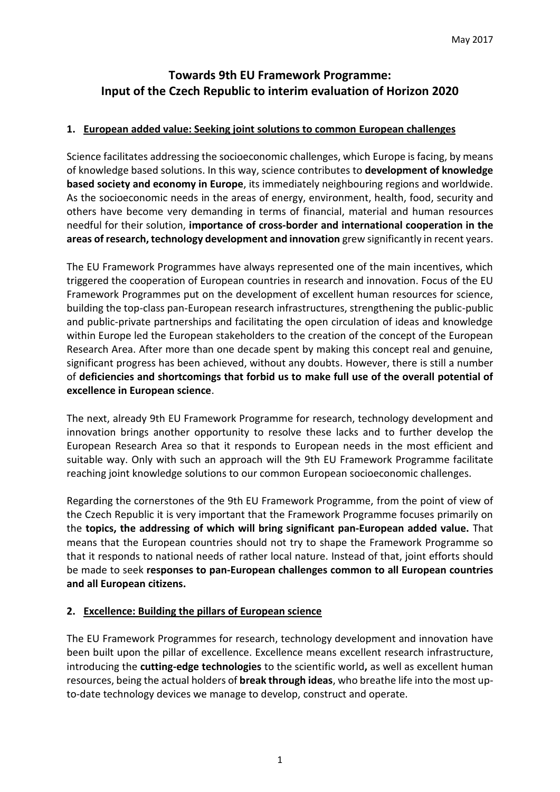# **Towards 9th EU Framework Programme: Input of the Czech Republic to interim evaluation of Horizon 2020**

## **1. European added value: Seeking joint solutions to common European challenges**

Science facilitates addressing the socioeconomic challenges, which Europe is facing, by means of knowledge based solutions. In this way, science contributes to **development of knowledge based society and economy in Europe**, its immediately neighbouring regions and worldwide. As the socioeconomic needs in the areas of energy, environment, health, food, security and others have become very demanding in terms of financial, material and human resources needful for their solution, **importance of cross-border and international cooperation in the areas of research, technology development and innovation** grew significantly in recent years.

The EU Framework Programmes have always represented one of the main incentives, which triggered the cooperation of European countries in research and innovation. Focus of the EU Framework Programmes put on the development of excellent human resources for science, building the top-class pan-European research infrastructures, strengthening the public-public and public-private partnerships and facilitating the open circulation of ideas and knowledge within Europe led the European stakeholders to the creation of the concept of the European Research Area. After more than one decade spent by making this concept real and genuine, significant progress has been achieved, without any doubts. However, there is still a number of **deficiencies and shortcomings that forbid us to make full use of the overall potential of excellence in European science**.

The next, already 9th EU Framework Programme for research, technology development and innovation brings another opportunity to resolve these lacks and to further develop the European Research Area so that it responds to European needs in the most efficient and suitable way. Only with such an approach will the 9th EU Framework Programme facilitate reaching joint knowledge solutions to our common European socioeconomic challenges.

Regarding the cornerstones of the 9th EU Framework Programme, from the point of view of the Czech Republic it is very important that the Framework Programme focuses primarily on the **topics, the addressing of which will bring significant pan-European added value.** That means that the European countries should not try to shape the Framework Programme so that it responds to national needs of rather local nature. Instead of that, joint efforts should be made to seek **responses to pan-European challenges common to all European countries and all European citizens.**

## **2. Excellence: Building the pillars of European science**

The EU Framework Programmes for research, technology development and innovation have been built upon the pillar of excellence. Excellence means excellent research infrastructure, introducing the **cutting-edge technologies** to the scientific world**,** as well as excellent human resources, being the actual holders of **break through ideas**, who breathe life into the most upto-date technology devices we manage to develop, construct and operate.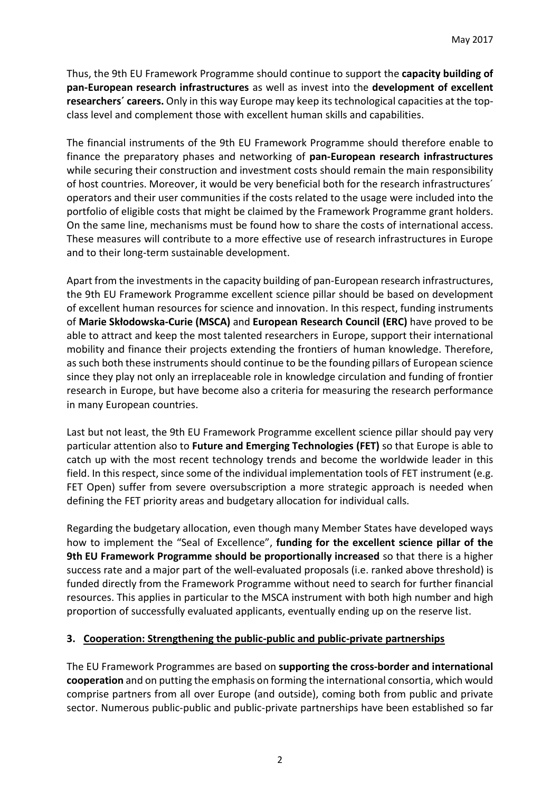Thus, the 9th EU Framework Programme should continue to support the **capacity building of pan-European research infrastructures** as well as invest into the **development of excellent researchers´ careers.** Only in this way Europe may keep its technological capacities at the topclass level and complement those with excellent human skills and capabilities.

The financial instruments of the 9th EU Framework Programme should therefore enable to finance the preparatory phases and networking of **pan-European research infrastructures** while securing their construction and investment costs should remain the main responsibility of host countries. Moreover, it would be very beneficial both for the research infrastructures´ operators and their user communities if the costs related to the usage were included into the portfolio of eligible costs that might be claimed by the Framework Programme grant holders. On the same line, mechanisms must be found how to share the costs of international access. These measures will contribute to a more effective use of research infrastructures in Europe and to their long-term sustainable development.

Apart from the investments in the capacity building of pan-European research infrastructures, the 9th EU Framework Programme excellent science pillar should be based on development of excellent human resources for science and innovation. In this respect, funding instruments of **Marie Skłodowska-Curie (MSCA)** and **European Research Council (ERC)** have proved to be able to attract and keep the most talented researchers in Europe, support their international mobility and finance their projects extending the frontiers of human knowledge. Therefore, as such both these instruments should continue to be the founding pillars of European science since they play not only an irreplaceable role in knowledge circulation and funding of frontier research in Europe, but have become also a criteria for measuring the research performance in many European countries.

Last but not least, the 9th EU Framework Programme excellent science pillar should pay very particular attention also to **Future and Emerging Technologies (FET)** so that Europe is able to catch up with the most recent technology trends and become the worldwide leader in this field. In this respect, since some of the individual implementation tools of FET instrument (e.g. FET Open) suffer from severe oversubscription a more strategic approach is needed when defining the FET priority areas and budgetary allocation for individual calls.

Regarding the budgetary allocation, even though many Member States have developed ways how to implement the "Seal of Excellence", **funding for the excellent science pillar of the 9th EU Framework Programme should be proportionally increased** so that there is a higher success rate and a major part of the well-evaluated proposals (i.e. ranked above threshold) is funded directly from the Framework Programme without need to search for further financial resources. This applies in particular to the MSCA instrument with both high number and high proportion of successfully evaluated applicants, eventually ending up on the reserve list.

## **3. Cooperation: Strengthening the public-public and public-private partnerships**

The EU Framework Programmes are based on **supporting the cross-border and international cooperation** and on putting the emphasis on forming the international consortia, which would comprise partners from all over Europe (and outside), coming both from public and private sector. Numerous public-public and public-private partnerships have been established so far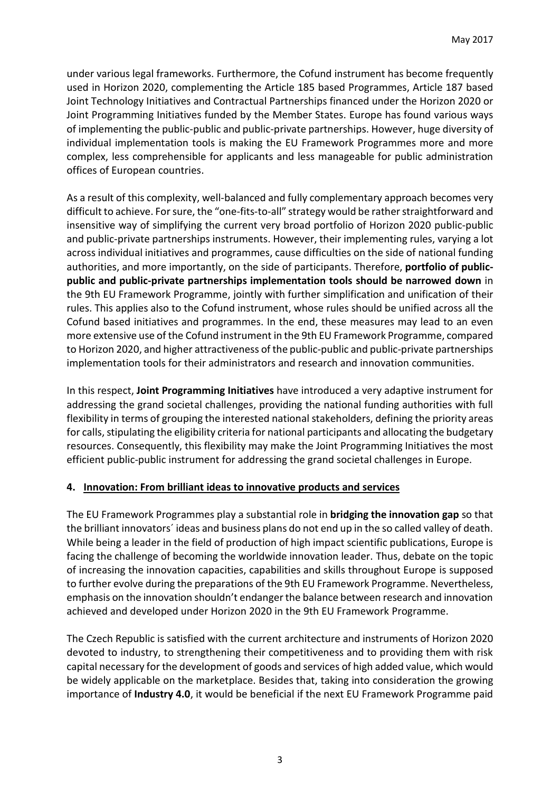under various legal frameworks. Furthermore, the Cofund instrument has become frequently used in Horizon 2020, complementing the Article 185 based Programmes, Article 187 based Joint Technology Initiatives and Contractual Partnerships financed under the Horizon 2020 or Joint Programming Initiatives funded by the Member States. Europe has found various ways of implementing the public-public and public-private partnerships. However, huge diversity of individual implementation tools is making the EU Framework Programmes more and more complex, less comprehensible for applicants and less manageable for public administration offices of European countries.

As a result of this complexity, well-balanced and fully complementary approach becomes very difficult to achieve. For sure, the "one-fits-to-all" strategy would be rather straightforward and insensitive way of simplifying the current very broad portfolio of Horizon 2020 public-public and public-private partnerships instruments. However, their implementing rules, varying a lot across individual initiatives and programmes, cause difficulties on the side of national funding authorities, and more importantly, on the side of participants. Therefore, **portfolio of publicpublic and public-private partnerships implementation tools should be narrowed down** in the 9th EU Framework Programme, jointly with further simplification and unification of their rules. This applies also to the Cofund instrument, whose rules should be unified across all the Cofund based initiatives and programmes. In the end, these measures may lead to an even more extensive use of the Cofund instrument in the 9th EU Framework Programme, compared to Horizon 2020, and higher attractiveness of the public-public and public-private partnerships implementation tools for their administrators and research and innovation communities.

In this respect, **Joint Programming Initiatives** have introduced a very adaptive instrument for addressing the grand societal challenges, providing the national funding authorities with full flexibility in terms of grouping the interested national stakeholders, defining the priority areas for calls, stipulating the eligibility criteria for national participants and allocating the budgetary resources. Consequently, this flexibility may make the Joint Programming Initiatives the most efficient public-public instrument for addressing the grand societal challenges in Europe.

## **4. Innovation: From brilliant ideas to innovative products and services**

The EU Framework Programmes play a substantial role in **bridging the innovation gap** so that the brilliant innovators´ ideas and business plans do not end up in the so called valley of death. While being a leader in the field of production of high impact scientific publications, Europe is facing the challenge of becoming the worldwide innovation leader. Thus, debate on the topic of increasing the innovation capacities, capabilities and skills throughout Europe is supposed to further evolve during the preparations of the 9th EU Framework Programme. Nevertheless, emphasis on the innovation shouldn't endanger the balance between research and innovation achieved and developed under Horizon 2020 in the 9th EU Framework Programme.

The Czech Republic is satisfied with the current architecture and instruments of Horizon 2020 devoted to industry, to strengthening their competitiveness and to providing them with risk capital necessary for the development of goods and services of high added value, which would be widely applicable on the marketplace. Besides that, taking into consideration the growing importance of **Industry 4.0**, it would be beneficial if the next EU Framework Programme paid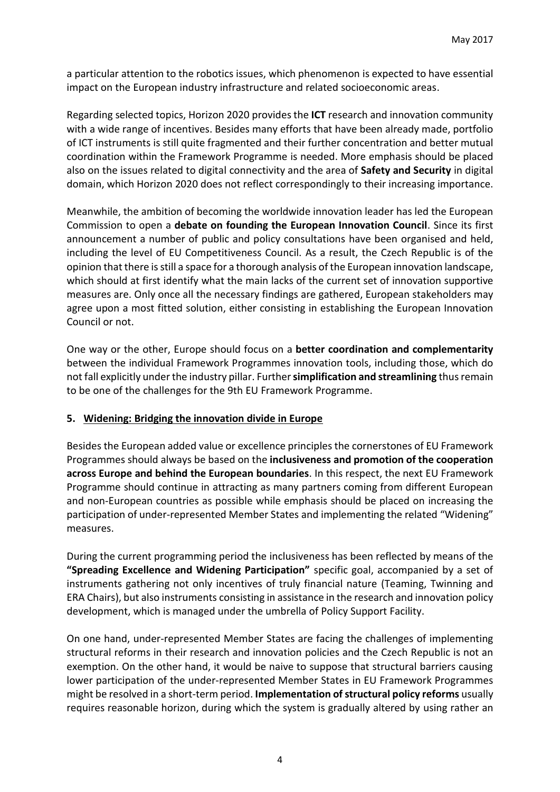a particular attention to the robotics issues, which phenomenon is expected to have essential impact on the European industry infrastructure and related socioeconomic areas.

Regarding selected topics, Horizon 2020 providesthe **ICT** research and innovation community with a wide range of incentives. Besides many efforts that have been already made, portfolio of ICT instruments is still quite fragmented and their further concentration and better mutual coordination within the Framework Programme is needed. More emphasis should be placed also on the issues related to digital connectivity and the area of **Safety and Security** in digital domain, which Horizon 2020 does not reflect correspondingly to their increasing importance.

Meanwhile, the ambition of becoming the worldwide innovation leader has led the European Commission to open a **debate on founding the European Innovation Council**. Since its first announcement a number of public and policy consultations have been organised and held, including the level of EU Competitiveness Council. As a result, the Czech Republic is of the opinion that there isstill a space for a thorough analysis of the European innovation landscape, which should at first identify what the main lacks of the current set of innovation supportive measures are. Only once all the necessary findings are gathered, European stakeholders may agree upon a most fitted solution, either consisting in establishing the European Innovation Council or not.

One way or the other, Europe should focus on a **better coordination and complementarity** between the individual Framework Programmes innovation tools, including those, which do not fall explicitly under the industry pillar. Further**simplification and streamlining** thus remain to be one of the challenges for the 9th EU Framework Programme.

## **5. Widening: Bridging the innovation divide in Europe**

Besides the European added value or excellence principlesthe cornerstones of EU Framework Programmes should always be based on the **inclusiveness and promotion of the cooperation across Europe and behind the European boundaries**. In this respect, the next EU Framework Programme should continue in attracting as many partners coming from different European and non-European countries as possible while emphasis should be placed on increasing the participation of under-represented Member States and implementing the related "Widening" measures.

During the current programming period the inclusiveness has been reflected by means of the **"Spreading Excellence and Widening Participation"** specific goal, accompanied by a set of instruments gathering not only incentives of truly financial nature (Teaming, Twinning and ERA Chairs), but also instruments consisting in assistance in the research and innovation policy development, which is managed under the umbrella of Policy Support Facility.

On one hand, under-represented Member States are facing the challenges of implementing structural reforms in their research and innovation policies and the Czech Republic is not an exemption. On the other hand, it would be naive to suppose that structural barriers causing lower participation of the under-represented Member States in EU Framework Programmes might be resolved in a short-term period. **Implementation of structural policy reforms** usually requires reasonable horizon, during which the system is gradually altered by using rather an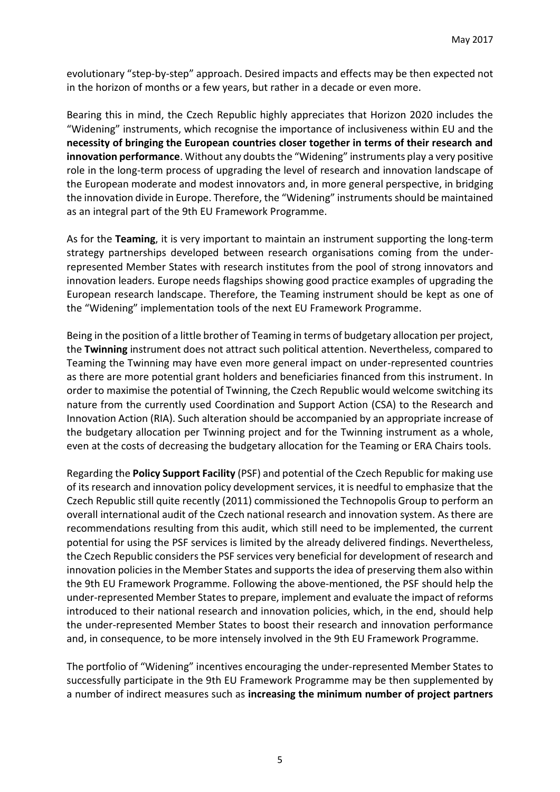evolutionary "step-by-step" approach. Desired impacts and effects may be then expected not in the horizon of months or a few years, but rather in a decade or even more.

Bearing this in mind, the Czech Republic highly appreciates that Horizon 2020 includes the "Widening" instruments, which recognise the importance of inclusiveness within EU and the **necessity of bringing the European countries closer together in terms of their research and innovation performance**. Without any doubts the "Widening" instruments play a very positive role in the long-term process of upgrading the level of research and innovation landscape of the European moderate and modest innovators and, in more general perspective, in bridging the innovation divide in Europe. Therefore, the "Widening" instruments should be maintained as an integral part of the 9th EU Framework Programme.

As for the **Teaming**, it is very important to maintain an instrument supporting the long-term strategy partnerships developed between research organisations coming from the underrepresented Member States with research institutes from the pool of strong innovators and innovation leaders. Europe needs flagships showing good practice examples of upgrading the European research landscape. Therefore, the Teaming instrument should be kept as one of the "Widening" implementation tools of the next EU Framework Programme.

Being in the position of a little brother of Teaming in terms of budgetary allocation per project, the **Twinning** instrument does not attract such political attention. Nevertheless, compared to Teaming the Twinning may have even more general impact on under-represented countries as there are more potential grant holders and beneficiaries financed from this instrument. In order to maximise the potential of Twinning, the Czech Republic would welcome switching its nature from the currently used Coordination and Support Action (CSA) to the Research and Innovation Action (RIA). Such alteration should be accompanied by an appropriate increase of the budgetary allocation per Twinning project and for the Twinning instrument as a whole, even at the costs of decreasing the budgetary allocation for the Teaming or ERA Chairs tools.

Regarding the **Policy Support Facility** (PSF) and potential of the Czech Republic for making use of its research and innovation policy development services, it is needful to emphasize that the Czech Republic still quite recently (2011) commissioned the Technopolis Group to perform an overall international audit of the Czech national research and innovation system. As there are recommendations resulting from this audit, which still need to be implemented, the current potential for using the PSF services is limited by the already delivered findings. Nevertheless, the Czech Republic considers the PSF services very beneficial for development of research and innovation policies in the Member States and supports the idea of preserving them also within the 9th EU Framework Programme. Following the above-mentioned, the PSF should help the under-represented Member Statesto prepare, implement and evaluate the impact of reforms introduced to their national research and innovation policies, which, in the end, should help the under-represented Member States to boost their research and innovation performance and, in consequence, to be more intensely involved in the 9th EU Framework Programme.

The portfolio of "Widening" incentives encouraging the under-represented Member States to successfully participate in the 9th EU Framework Programme may be then supplemented by a number of indirect measures such as **increasing the minimum number of project partners**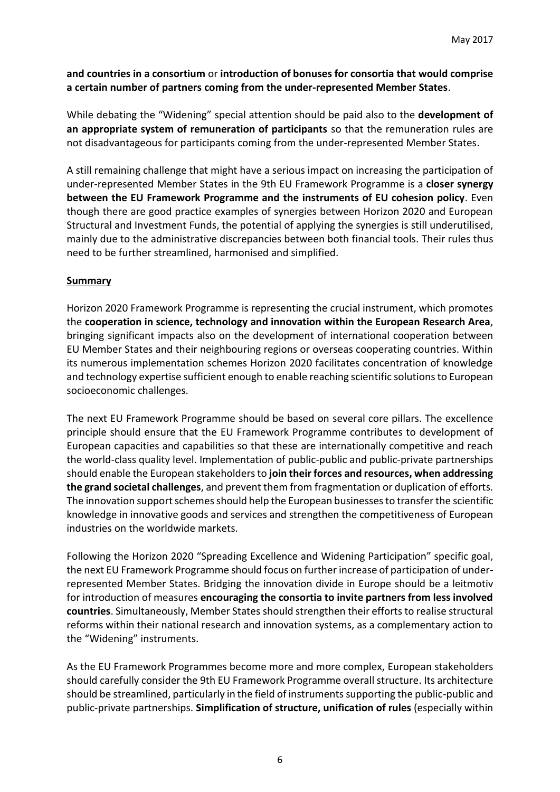#### **and countries in a consortium** or **introduction of bonuses for consortia that would comprise a certain number of partners coming from the under-represented Member States**.

While debating the "Widening" special attention should be paid also to the **development of an appropriate system of remuneration of participants** so that the remuneration rules are not disadvantageous for participants coming from the under-represented Member States.

A still remaining challenge that might have a serious impact on increasing the participation of under-represented Member States in the 9th EU Framework Programme is a **closer synergy between the EU Framework Programme and the instruments of EU cohesion policy**. Even though there are good practice examples of synergies between Horizon 2020 and European Structural and Investment Funds, the potential of applying the synergies is still underutilised, mainly due to the administrative discrepancies between both financial tools. Their rules thus need to be further streamlined, harmonised and simplified.

#### **Summary**

Horizon 2020 Framework Programme is representing the crucial instrument, which promotes the **cooperation in science, technology and innovation within the European Research Area**, bringing significant impacts also on the development of international cooperation between EU Member States and their neighbouring regions or overseas cooperating countries. Within its numerous implementation schemes Horizon 2020 facilitates concentration of knowledge and technology expertise sufficient enough to enable reaching scientific solutions to European socioeconomic challenges.

The next EU Framework Programme should be based on several core pillars. The excellence principle should ensure that the EU Framework Programme contributes to development of European capacities and capabilities so that these are internationally competitive and reach the world-class quality level. Implementation of public-public and public-private partnerships should enable the European stakeholders to **join their forces and resources, when addressing the grand societal challenges**, and prevent them from fragmentation or duplication of efforts. The innovation support schemes should help the European businesses to transfer the scientific knowledge in innovative goods and services and strengthen the competitiveness of European industries on the worldwide markets.

Following the Horizon 2020 "Spreading Excellence and Widening Participation" specific goal, the next EU Framework Programme should focus on further increase of participation of underrepresented Member States. Bridging the innovation divide in Europe should be a leitmotiv for introduction of measures **encouraging the consortia to invite partners from less involved countries**. Simultaneously, Member States should strengthen their efforts to realise structural reforms within their national research and innovation systems, as a complementary action to the "Widening" instruments.

As the EU Framework Programmes become more and more complex, European stakeholders should carefully consider the 9th EU Framework Programme overall structure. Its architecture should be streamlined, particularly in the field of instruments supporting the public-public and public-private partnerships. **Simplification of structure, unification of rules** (especially within